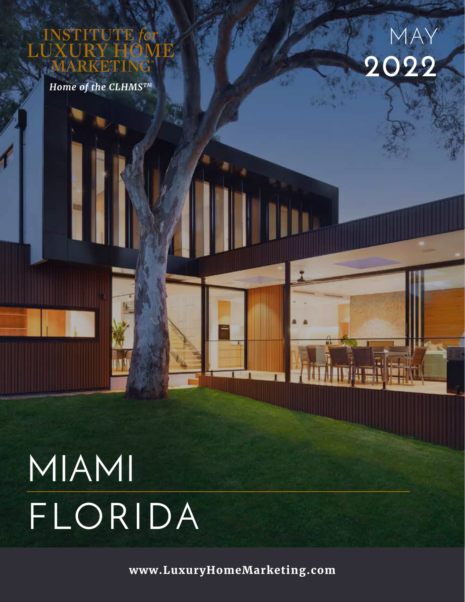UTE

Home of the CLHMSTM



# MIAMI FLORIDA

www.LuxuryHomeMarketing.com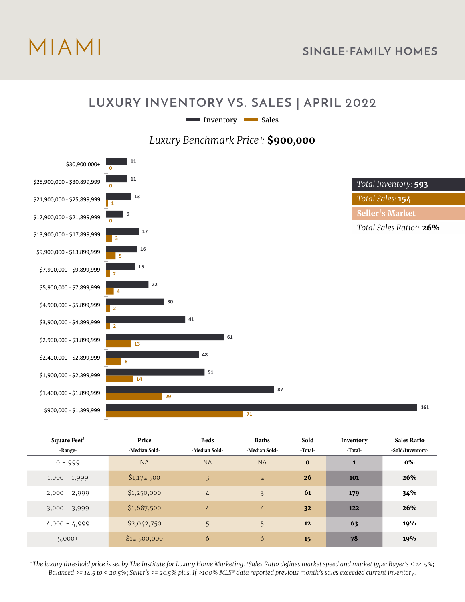

#### **LUXURY INVENTORY VS. SALES | APRIL 2022**

Inventory Sales

*Luxury Benchmark Price<sup>1</sup>:* **\$900***,***000**



| Square Feet     | <b>Price</b>  | <b>Beds</b>   | <b>Baths</b>   | Sold     | Inventory | Sales Ratio      |
|-----------------|---------------|---------------|----------------|----------|-----------|------------------|
| -Range-         | -Median Sold- | -Median Sold- | -Median Sold-  | -Total-  | -Total-   | -Sold/Inventory- |
| $0 - 999$       | <b>NA</b>     | <b>NA</b>     | <b>NA</b>      | $\bf{0}$ | 1         | $0\%$            |
| $1,000 - 1,999$ | \$1,172,500   | 3             | $\overline{2}$ | 26       | 101       | 26%              |
| $2,000 - 2,999$ | \$1,250,000   | $\frac{1}{4}$ | $\overline{3}$ | 61       | 179       | 34%              |
| $3,000 - 3,999$ | \$1,687,500   | 4             | 4              | 32       | 122       | 26%              |
| $4,000 - 4,999$ | \$2,042,750   | 5             | 5              | 12       | 63        | 19%              |
| $5,000+$        | \$12,500,000  | 6             | 6              | 15       | 78        | 19%              |

*1 The luxury threshold price is set by The Institute for Luxury Home Marketing. 2Sales Ratio defines market speed and market type: Buyer's < 14.5%; Balanced >= 14.5 to < 20.5%; Seller's >= 20.5% plus. If >100% MLS® data reported previous month's sales exceeded current inventory.*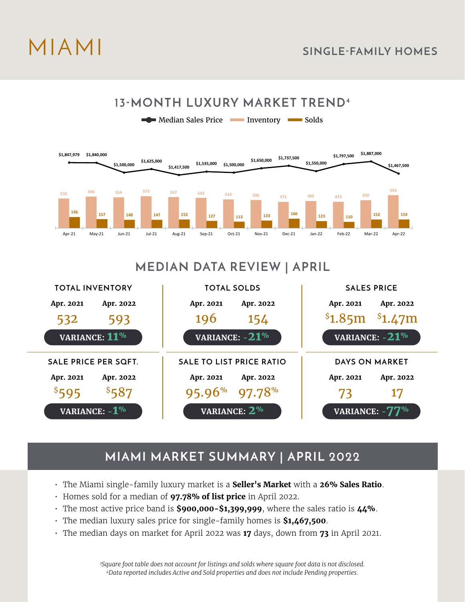# MIAMI **SINGLE-FAMILY HOMES**



## **MEDIAN DATA REVIEW | APRIL**



# **MIAMI MARKET SUMMARY | APRIL 2022**

- The Miami single-family luxury market is a **Seller's Market** with a **26% Sales Ratio**.
- Homes sold for a median of **97.78% of list price** in April 2022.
- The most active price band is **\$900,000-\$1,399,999**, where the sales ratio is **44%**.
- The median luxury sales price for single-family homes is **\$1,467,500**.
- The median days on market for April 2022 was **17** days, down from **73** in April 2021.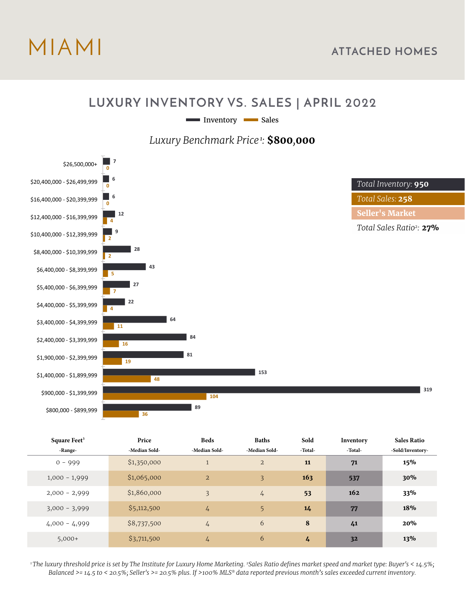

#### **LUXURY INVENTORY VS. SALES | APRIL 2022**

Inventory Sales

*Luxury Benchmark Price<sup>1</sup>:* **\$800***,***000**



| Square Feet <sup>3</sup> | Price         | <b>Beds</b>    | <b>Baths</b>   | Sold    | Inventory | <b>Sales Ratio</b> |
|--------------------------|---------------|----------------|----------------|---------|-----------|--------------------|
| -Range-                  | -Median Sold- | -Median Sold-  | -Median Sold-  | -Total- | -Total-   | -Sold/Inventory-   |
| $0 - 999$                | \$1,350,000   | $\overline{1}$ | $\overline{2}$ | 11      | 71        | 15%                |
| $1,000 - 1,999$          | \$1,065,000   | $\overline{2}$ | 3              | 163     | 537       | 30%                |
| $2,000 - 2,999$          | \$1,860,000   | $\overline{3}$ | $\frac{1}{4}$  | 53      | 162       | 33%                |
| $3,000 - 3,999$          | \$5,112,500   | 4              | 5              | 14      | 77        | 18%                |
| $4,000 - 4,999$          | \$8,737,500   | $\overline{4}$ | 6              | 8       | 41        | 20%                |
| $5,000+$                 | \$3,711,500   | 4              | 6              | 4       | 32        | 13%                |

*1 The luxury threshold price is set by The Institute for Luxury Home Marketing. 2Sales Ratio defines market speed and market type: Buyer's < 14.5%; Balanced >= 14.5 to < 20.5%; Seller's >= 20.5% plus. If >100% MLS® data reported previous month's sales exceeded current inventory.*